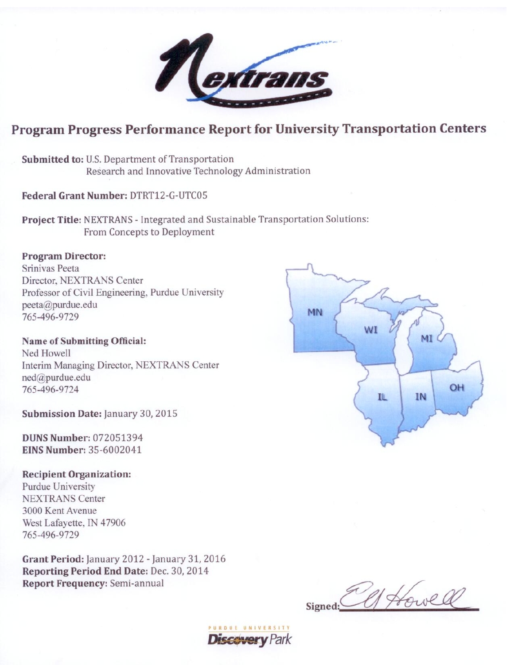# Program Progress Performance Report for University Transportation Centers

Submitted to: U.S. Department of Transportation Research and Innovative Technology Administration

Federal Grant Number: DTRT12-G-UTC05

Project Title: NEXTRANS - Integrated and Sustainable Transportation Solutions: From Concepts to Deployment

## **Program Director:**

Srinivas Peeta Director, NEXTRANS Center Professor of Civil Engineering, Purdue University peeta@purdue.edu 765-496-9729

**Name of Submitting Official:** Ned Howell Interim Managing Director, NEXTRANS Center ned@purdue.edu 765-496-9724

Submission Date: January 30, 2015

**DUNS Number: 072051394 EINS Number: 35-6002041** 

#### **Recipient Organization:**

**Purdue University NEXTRANS Center** 3000 Kent Avenue West Lafayette, IN 47906 765-496-9729

Grant Period: January 2012 - January 31, 2016 Reporting Period End Date: Dec. 30, 2014 **Report Frequency: Semi-annual** 



1 Howel Signed: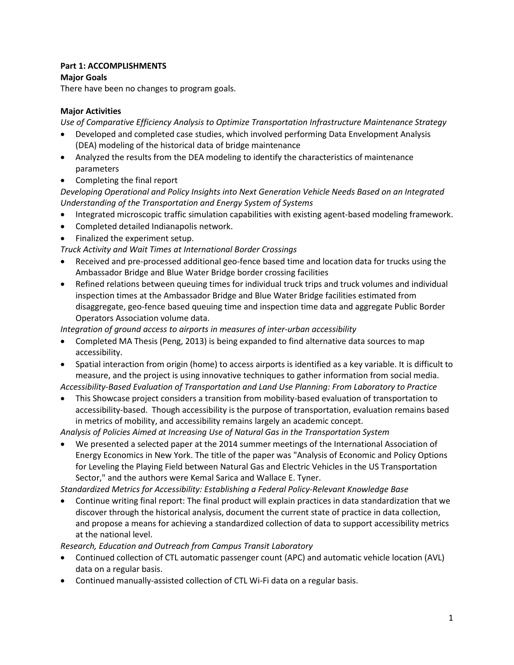### **Part 1: ACCOMPLISHMENTS**

## **Major Goals**

There have been no changes to program goals.

### **Major Activities**

*Use of Comparative Efficiency Analysis to Optimize Transportation Infrastructure Maintenance Strategy* 

- Developed and completed case studies, which involved performing Data Envelopment Analysis (DEA) modeling of the historical data of bridge maintenance
- Analyzed the results from the DEA modeling to identify the characteristics of maintenance parameters
- Completing the final report

*Developing Operational and Policy Insights into Next Generation Vehicle Needs Based on an Integrated Understanding of the Transportation and Energy System of Systems*

- Integrated microscopic traffic simulation capabilities with existing agent-based modeling framework.
- Completed detailed Indianapolis network.
- Finalized the experiment setup.

*Truck Activity and Wait Times at International Border Crossings*

- Received and pre-processed additional geo-fence based time and location data for trucks using the Ambassador Bridge and Blue Water Bridge border crossing facilities
- Refined relations between queuing times for individual truck trips and truck volumes and individual inspection times at the Ambassador Bridge and Blue Water Bridge facilities estimated from disaggregate, geo-fence based queuing time and inspection time data and aggregate Public Border Operators Association volume data.

*Integration of ground access to airports in measures of inter-urban accessibility* 

- Completed MA Thesis (Peng, 2013) is being expanded to find alternative data sources to map accessibility.
- Spatial interaction from origin (home) to access airports is identified as a key variable. It is difficult to measure, and the project is using innovative techniques to gather information from social media.

*Accessibility-Based Evaluation of Transportation and Land Use Planning: From Laboratory to Practice*

• This Showcase project considers a transition from mobility-based evaluation of transportation to accessibility-based. Though accessibility is the purpose of transportation, evaluation remains based in metrics of mobility, and accessibility remains largely an academic concept.

*Analysis of Policies Aimed at Increasing Use of Natural Gas in the Transportation System*

• We presented a selected paper at the 2014 summer meetings of the International Association of Energy Economics in New York. The title of the paper was "Analysis of Economic and Policy Options for Leveling the Playing Field between Natural Gas and Electric Vehicles in the US Transportation Sector," and the authors were Kemal Sarica and Wallace E. Tyner.

*Standardized Metrics for Accessibility: Establishing a Federal Policy-Relevant Knowledge Base*

• Continue writing final report: The final product will explain practices in data standardization that we discover through the historical analysis, document the current state of practice in data collection, and propose a means for achieving a standardized collection of data to support accessibility metrics at the national level.

### *Research, Education and Outreach from Campus Transit Laboratory*

- Continued collection of CTL automatic passenger count (APC) and automatic vehicle location (AVL) data on a regular basis.
- Continued manually-assisted collection of CTL Wi-Fi data on a regular basis.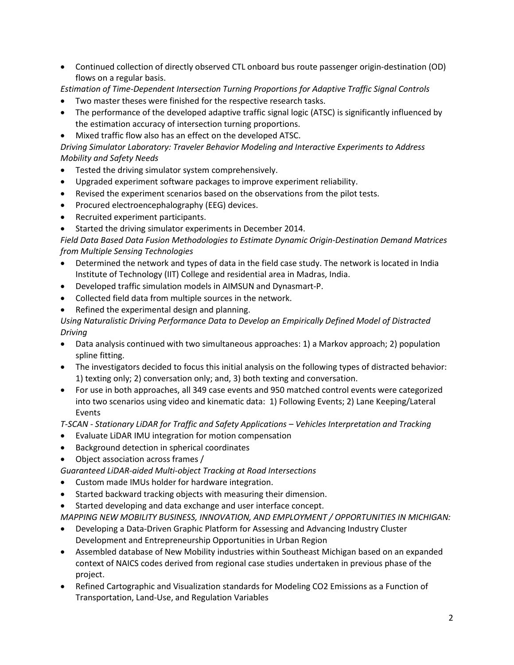- Continued collection of directly observed CTL onboard bus route passenger origin-destination (OD) flows on a regular basis.
- *Estimation of Time-Dependent Intersection Turning Proportions for Adaptive Traffic Signal Controls*
- Two master theses were finished for the respective research tasks.
- The performance of the developed adaptive traffic signal logic (ATSC) is significantly influenced by the estimation accuracy of intersection turning proportions.
- Mixed traffic flow also has an effect on the developed ATSC.

*Driving Simulator Laboratory: Traveler Behavior Modeling and Interactive Experiments to Address Mobility and Safety Needs*

- Tested the driving simulator system comprehensively.
- Upgraded experiment software packages to improve experiment reliability.
- Revised the experiment scenarios based on the observations from the pilot tests.
- Procured electroencephalography (EEG) devices.
- Recruited experiment participants.
- Started the driving simulator experiments in December 2014.

*Field Data Based Data Fusion Methodologies to Estimate Dynamic Origin-Destination Demand Matrices from Multiple Sensing Technologies* 

- Determined the network and types of data in the field case study. The network is located in India Institute of Technology (IIT) College and residential area in Madras, India.
- Developed traffic simulation models in AIMSUN and Dynasmart-P.
- Collected field data from multiple sources in the network.
- Refined the experimental design and planning.

## *Using Naturalistic Driving Performance Data to Develop an Empirically Defined Model of Distracted Driving*

- Data analysis continued with two simultaneous approaches: 1) a Markov approach; 2) population spline fitting.
- The investigators decided to focus this initial analysis on the following types of distracted behavior: 1) texting only; 2) conversation only; and, 3) both texting and conversation.
- For use in both approaches, all 349 case events and 950 matched control events were categorized into two scenarios using video and kinematic data: 1) Following Events; 2) Lane Keeping/Lateral Events

*T-SCAN - Stationary LiDAR for Traffic and Safety Applications – Vehicles Interpretation and Tracking* 

- Evaluate LiDAR IMU integration for motion compensation
- Background detection in spherical coordinates
- Object association across frames /

*Guaranteed LiDAR-aided Multi-object Tracking at Road Intersections*

- Custom made IMUs holder for hardware integration.
- Started backward tracking objects with measuring their dimension.
- Started developing and data exchange and user interface concept.

*MAPPING NEW MOBILITY BUSINESS, INNOVATION, AND EMPLOYMENT / OPPORTUNITIES IN MICHIGAN:*

- Developing a Data-Driven Graphic Platform for Assessing and Advancing Industry Cluster Development and Entrepreneurship Opportunities in Urban Region
- Assembled database of New Mobility industries within Southeast Michigan based on an expanded context of NAICS codes derived from regional case studies undertaken in previous phase of the project.
- Refined Cartographic and Visualization standards for Modeling CO2 Emissions as a Function of Transportation, Land-Use, and Regulation Variables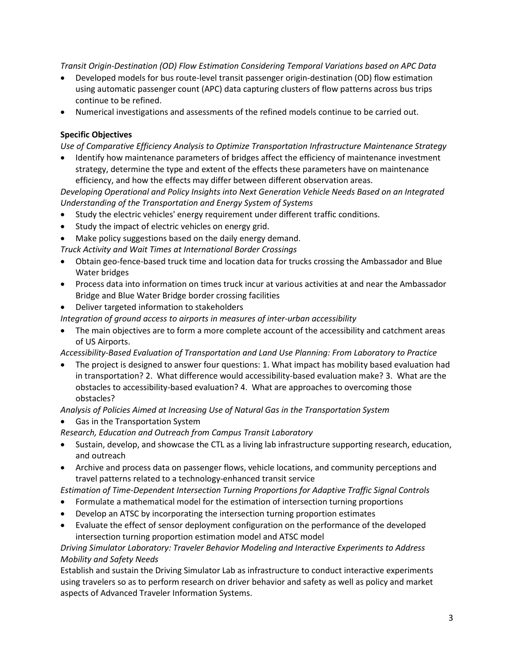*Transit Origin-Destination (OD) Flow Estimation Considering Temporal Variations based on APC Data*

- Developed models for bus route-level transit passenger origin-destination (OD) flow estimation using automatic passenger count (APC) data capturing clusters of flow patterns across bus trips continue to be refined.
- Numerical investigations and assessments of the refined models continue to be carried out.

### **Specific Objectives**

*Use of Comparative Efficiency Analysis to Optimize Transportation Infrastructure Maintenance Strategy* 

• Identify how maintenance parameters of bridges affect the efficiency of maintenance investment strategy, determine the type and extent of the effects these parameters have on maintenance efficiency, and how the effects may differ between different observation areas.

*Developing Operational and Policy Insights into Next Generation Vehicle Needs Based on an Integrated Understanding of the Transportation and Energy System of Systems*

- Study the electric vehicles' energy requirement under different traffic conditions.
- Study the impact of electric vehicles on energy grid.
- Make policy suggestions based on the daily energy demand.

*Truck Activity and Wait Times at International Border Crossings*

- Obtain geo-fence-based truck time and location data for trucks crossing the Ambassador and Blue Water bridges
- Process data into information on times truck incur at various activities at and near the Ambassador Bridge and Blue Water Bridge border crossing facilities
- Deliver targeted information to stakeholders

*Integration of ground access to airports in measures of inter-urban accessibility* 

• The main objectives are to form a more complete account of the accessibility and catchment areas of US Airports.

*Accessibility-Based Evaluation of Transportation and Land Use Planning: From Laboratory to Practice*

• The project is designed to answer four questions: 1. What impact has mobility based evaluation had in transportation? 2. What difference would accessibility-based evaluation make? 3. What are the obstacles to accessibility-based evaluation? 4. What are approaches to overcoming those obstacles?

*Analysis of Policies Aimed at Increasing Use of Natural Gas in the Transportation System*

• Gas in the Transportation System

*Research, Education and Outreach from Campus Transit Laboratory*

- Sustain, develop, and showcase the CTL as a living lab infrastructure supporting research, education, and outreach
- Archive and process data on passenger flows, vehicle locations, and community perceptions and travel patterns related to a technology-enhanced transit service

*Estimation of Time-Dependent Intersection Turning Proportions for Adaptive Traffic Signal Controls*

- Formulate a mathematical model for the estimation of intersection turning proportions
- Develop an ATSC by incorporating the intersection turning proportion estimates
- Evaluate the effect of sensor deployment configuration on the performance of the developed intersection turning proportion estimation model and ATSC model

*Driving Simulator Laboratory: Traveler Behavior Modeling and Interactive Experiments to Address Mobility and Safety Needs*

Establish and sustain the Driving Simulator Lab as infrastructure to conduct interactive experiments using travelers so as to perform research on driver behavior and safety as well as policy and market aspects of Advanced Traveler Information Systems.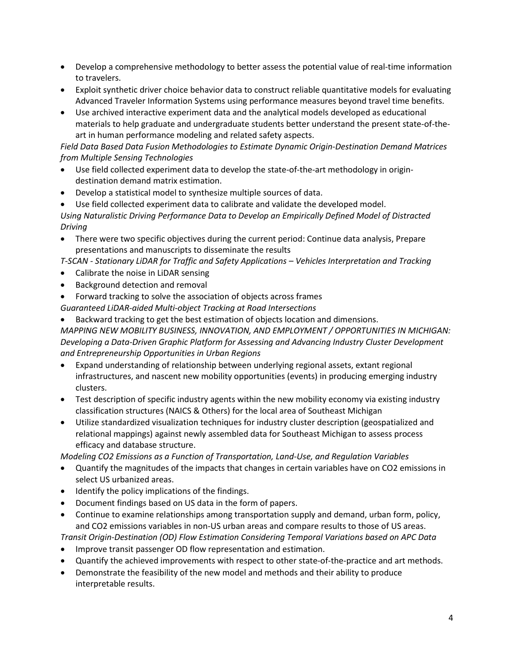- Develop a comprehensive methodology to better assess the potential value of real-time information to travelers.
- Exploit synthetic driver choice behavior data to construct reliable quantitative models for evaluating Advanced Traveler Information Systems using performance measures beyond travel time benefits.
- Use archived interactive experiment data and the analytical models developed as educational materials to help graduate and undergraduate students better understand the present state-of-theart in human performance modeling and related safety aspects.

*Field Data Based Data Fusion Methodologies to Estimate Dynamic Origin-Destination Demand Matrices from Multiple Sensing Technologies* 

- Use field collected experiment data to develop the state-of-the-art methodology in origindestination demand matrix estimation.
- Develop a statistical model to synthesize multiple sources of data.
- Use field collected experiment data to calibrate and validate the developed model. *Using Naturalistic Driving Performance Data to Develop an Empirically Defined Model of Distracted Driving*
- There were two specific objectives during the current period: Continue data analysis, Prepare presentations and manuscripts to disseminate the results
- *T-SCAN - Stationary LiDAR for Traffic and Safety Applications – Vehicles Interpretation and Tracking*
- Calibrate the noise in LiDAR sensing
- Background detection and removal
- Forward tracking to solve the association of objects across frames

*Guaranteed LiDAR-aided Multi-object Tracking at Road Intersections*

• Backward tracking to get the best estimation of objects location and dimensions.

*MAPPING NEW MOBILITY BUSINESS, INNOVATION, AND EMPLOYMENT / OPPORTUNITIES IN MICHIGAN: Developing a Data-Driven Graphic Platform for Assessing and Advancing Industry Cluster Development and Entrepreneurship Opportunities in Urban Regions* 

- Expand understanding of relationship between underlying regional assets, extant regional infrastructures, and nascent new mobility opportunities (events) in producing emerging industry clusters.
- Test description of specific industry agents within the new mobility economy via existing industry classification structures (NAICS & Others) for the local area of Southeast Michigan
- Utilize standardized visualization techniques for industry cluster description (geospatialized and relational mappings) against newly assembled data for Southeast Michigan to assess process efficacy and database structure.

*Modeling CO2 Emissions as a Function of Transportation, Land-Use, and Regulation Variables*

- Quantify the magnitudes of the impacts that changes in certain variables have on CO2 emissions in select US urbanized areas.
- Identify the policy implications of the findings.
- Document findings based on US data in the form of papers.
- Continue to examine relationships among transportation supply and demand, urban form, policy, and CO2 emissions variables in non-US urban areas and compare results to those of US areas.

*Transit Origin-Destination (OD) Flow Estimation Considering Temporal Variations based on APC Data*

- Improve transit passenger OD flow representation and estimation.
- Quantify the achieved improvements with respect to other state-of-the-practice and art methods.
- Demonstrate the feasibility of the new model and methods and their ability to produce interpretable results.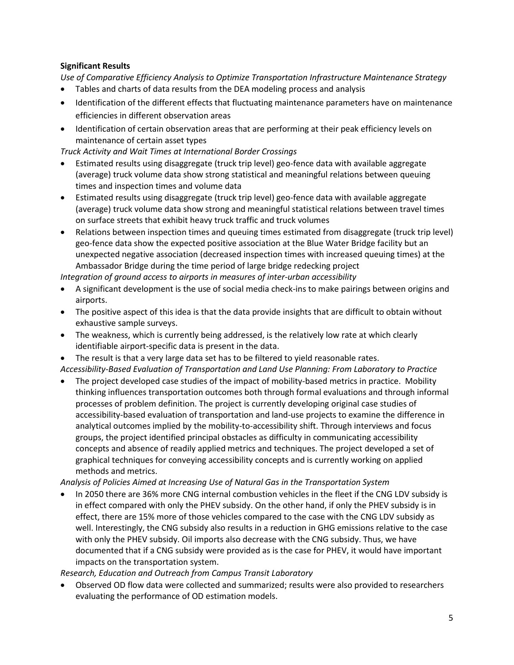#### **Significant Results**

*Use of Comparative Efficiency Analysis to Optimize Transportation Infrastructure Maintenance Strategy*

- Tables and charts of data results from the DEA modeling process and analysis
- Identification of the different effects that fluctuating maintenance parameters have on maintenance efficiencies in different observation areas
- Identification of certain observation areas that are performing at their peak efficiency levels on maintenance of certain asset types

*Truck Activity and Wait Times at International Border Crossings*

- Estimated results using disaggregate (truck trip level) geo-fence data with available aggregate (average) truck volume data show strong statistical and meaningful relations between queuing times and inspection times and volume data
- Estimated results using disaggregate (truck trip level) geo-fence data with available aggregate (average) truck volume data show strong and meaningful statistical relations between travel times on surface streets that exhibit heavy truck traffic and truck volumes
- Relations between inspection times and queuing times estimated from disaggregate (truck trip level) geo-fence data show the expected positive association at the Blue Water Bridge facility but an unexpected negative association (decreased inspection times with increased queuing times) at the Ambassador Bridge during the time period of large bridge redecking project

*Integration of ground access to airports in measures of inter-urban accessibility* 

- A significant development is the use of social media check-ins to make pairings between origins and airports.
- The positive aspect of this idea is that the data provide insights that are difficult to obtain without exhaustive sample surveys.
- The weakness, which is currently being addressed, is the relatively low rate at which clearly identifiable airport-specific data is present in the data.
- The result is that a very large data set has to be filtered to yield reasonable rates. *Accessibility-Based Evaluation of Transportation and Land Use Planning: From Laboratory to Practice*
- The project developed case studies of the impact of mobility-based metrics in practice. Mobility thinking influences transportation outcomes both through formal evaluations and through informal processes of problem definition. The project is currently developing original case studies of accessibility-based evaluation of transportation and land-use projects to examine the difference in analytical outcomes implied by the mobility-to-accessibility shift. Through interviews and focus groups, the project identified principal obstacles as difficulty in communicating accessibility concepts and absence of readily applied metrics and techniques. The project developed a set of graphical techniques for conveying accessibility concepts and is currently working on applied methods and metrics.

*Analysis of Policies Aimed at Increasing Use of Natural Gas in the Transportation System*

In 2050 there are 36% more CNG internal combustion vehicles in the fleet if the CNG LDV subsidy is in effect compared with only the PHEV subsidy. On the other hand, if only the PHEV subsidy is in effect, there are 15% more of those vehicles compared to the case with the CNG LDV subsidy as well. Interestingly, the CNG subsidy also results in a reduction in GHG emissions relative to the case with only the PHEV subsidy. Oil imports also decrease with the CNG subsidy. Thus, we have documented that if a CNG subsidy were provided as is the case for PHEV, it would have important impacts on the transportation system.

#### *Research, Education and Outreach from Campus Transit Laboratory*

• Observed OD flow data were collected and summarized; results were also provided to researchers evaluating the performance of OD estimation models.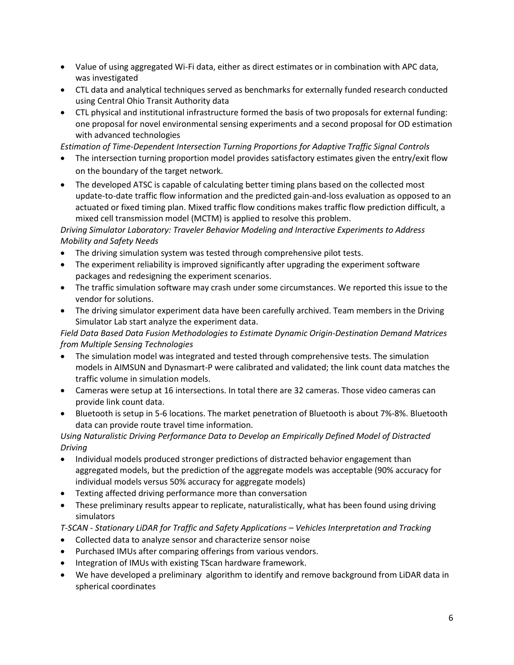- Value of using aggregated Wi-Fi data, either as direct estimates or in combination with APC data, was investigated
- CTL data and analytical techniques served as benchmarks for externally funded research conducted using Central Ohio Transit Authority data
- CTL physical and institutional infrastructure formed the basis of two proposals for external funding: one proposal for novel environmental sensing experiments and a second proposal for OD estimation with advanced technologies

*Estimation of Time-Dependent Intersection Turning Proportions for Adaptive Traffic Signal Controls*

- The intersection turning proportion model provides satisfactory estimates given the entry/exit flow on the boundary of the target network.
- The developed ATSC is capable of calculating better timing plans based on the collected most update-to-date traffic flow information and the predicted gain-and-loss evaluation as opposed to an actuated or fixed timing plan. Mixed traffic flow conditions makes traffic flow prediction difficult, a mixed cell transmission model (MCTM) is applied to resolve this problem.

*Driving Simulator Laboratory: Traveler Behavior Modeling and Interactive Experiments to Address Mobility and Safety Needs*

- The driving simulation system was tested through comprehensive pilot tests.
- The experiment reliability is improved significantly after upgrading the experiment software packages and redesigning the experiment scenarios.
- The traffic simulation software may crash under some circumstances. We reported this issue to the vendor for solutions.
- The driving simulator experiment data have been carefully archived. Team members in the Driving Simulator Lab start analyze the experiment data.

# *Field Data Based Data Fusion Methodologies to Estimate Dynamic Origin-Destination Demand Matrices from Multiple Sensing Technologies*

- The simulation model was integrated and tested through comprehensive tests. The simulation models in AIMSUN and Dynasmart-P were calibrated and validated; the link count data matches the traffic volume in simulation models.
- Cameras were setup at 16 intersections. In total there are 32 cameras. Those video cameras can provide link count data.
- Bluetooth is setup in 5-6 locations. The market penetration of Bluetooth is about 7%-8%. Bluetooth data can provide route travel time information.

## *Using Naturalistic Driving Performance Data to Develop an Empirically Defined Model of Distracted Driving*

- Individual models produced stronger predictions of distracted behavior engagement than aggregated models, but the prediction of the aggregate models was acceptable (90% accuracy for individual models versus 50% accuracy for aggregate models)
- Texting affected driving performance more than conversation
- These preliminary results appear to replicate, naturalistically, what has been found using driving simulators

*T-SCAN - Stationary LiDAR for Traffic and Safety Applications – Vehicles Interpretation and Tracking* 

- Collected data to analyze sensor and characterize sensor noise
- Purchased IMUs after comparing offerings from various vendors.
- Integration of IMUs with existing TScan hardware framework.
- We have developed a preliminary algorithm to identify and remove background from LiDAR data in spherical coordinates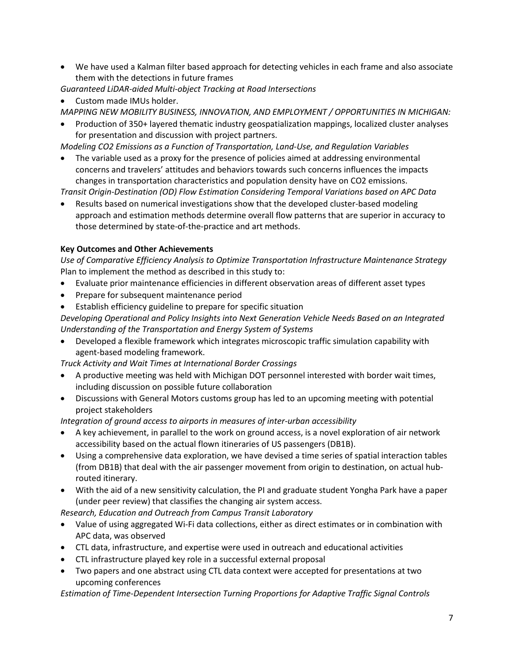• We have used a Kalman filter based approach for detecting vehicles in each frame and also associate them with the detections in future frames

*Guaranteed LiDAR-aided Multi-object Tracking at Road Intersections*

• Custom made IMUs holder.

*MAPPING NEW MOBILITY BUSINESS, INNOVATION, AND EMPLOYMENT / OPPORTUNITIES IN MICHIGAN:* 

• Production of 350+ layered thematic industry geospatialization mappings, localized cluster analyses for presentation and discussion with project partners.

*Modeling CO2 Emissions as a Function of Transportation, Land-Use, and Regulation Variables*

• The variable used as a proxy for the presence of policies aimed at addressing environmental concerns and travelers' attitudes and behaviors towards such concerns influences the impacts changes in transportation characteristics and population density have on CO2 emissions.

*Transit Origin-Destination (OD) Flow Estimation Considering Temporal Variations based on APC Data*

• Results based on numerical investigations show that the developed cluster-based modeling approach and estimation methods determine overall flow patterns that are superior in accuracy to those determined by state-of-the-practice and art methods.

## **Key Outcomes and Other Achievements**

*Use of Comparative Efficiency Analysis to Optimize Transportation Infrastructure Maintenance Strategy* Plan to implement the method as described in this study to:

- Evaluate prior maintenance efficiencies in different observation areas of different asset types
- Prepare for subsequent maintenance period
- Establish efficiency guideline to prepare for specific situation

*Developing Operational and Policy Insights into Next Generation Vehicle Needs Based on an Integrated Understanding of the Transportation and Energy System of Systems*

• Developed a flexible framework which integrates microscopic traffic simulation capability with agent-based modeling framework.

*Truck Activity and Wait Times at International Border Crossings*

- A productive meeting was held with Michigan DOT personnel interested with border wait times, including discussion on possible future collaboration
- Discussions with General Motors customs group has led to an upcoming meeting with potential project stakeholders

*Integration of ground access to airports in measures of inter-urban accessibility* 

- A key achievement, in parallel to the work on ground access, is a novel exploration of air network accessibility based on the actual flown itineraries of US passengers (DB1B).
- Using a comprehensive data exploration, we have devised a time series of spatial interaction tables (from DB1B) that deal with the air passenger movement from origin to destination, on actual hubrouted itinerary.
- With the aid of a new sensitivity calculation, the PI and graduate student Yongha Park have a paper (under peer review) that classifies the changing air system access.

*Research, Education and Outreach from Campus Transit Laboratory*

- Value of using aggregated Wi-Fi data collections, either as direct estimates or in combination with APC data, was observed
- CTL data, infrastructure, and expertise were used in outreach and educational activities
- CTL infrastructure played key role in a successful external proposal
- Two papers and one abstract using CTL data context were accepted for presentations at two upcoming conferences

*Estimation of Time-Dependent Intersection Turning Proportions for Adaptive Traffic Signal Controls*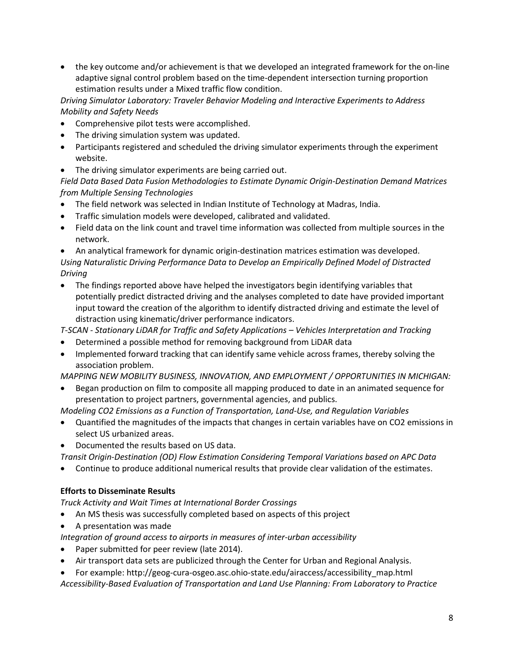• the key outcome and/or achievement is that we developed an integrated framework for the on-line adaptive signal control problem based on the time-dependent intersection turning proportion estimation results under a Mixed traffic flow condition.

*Driving Simulator Laboratory: Traveler Behavior Modeling and Interactive Experiments to Address Mobility and Safety Needs*

- Comprehensive pilot tests were accomplished.
- The driving simulation system was updated.
- Participants registered and scheduled the driving simulator experiments through the experiment website.
- The driving simulator experiments are being carried out.

*Field Data Based Data Fusion Methodologies to Estimate Dynamic Origin-Destination Demand Matrices from Multiple Sensing Technologies* 

- The field network was selected in Indian Institute of Technology at Madras, India.
- Traffic simulation models were developed, calibrated and validated.
- Field data on the link count and travel time information was collected from multiple sources in the network.
- An analytical framework for dynamic origin-destination matrices estimation was developed.

*Using Naturalistic Driving Performance Data to Develop an Empirically Defined Model of Distracted Driving*

• The findings reported above have helped the investigators begin identifying variables that potentially predict distracted driving and the analyses completed to date have provided important input toward the creation of the algorithm to identify distracted driving and estimate the level of distraction using kinematic/driver performance indicators.

*T-SCAN - Stationary LiDAR for Traffic and Safety Applications – Vehicles Interpretation and Tracking* 

- Determined a possible method for removing background from LiDAR data
- Implemented forward tracking that can identify same vehicle across frames, thereby solving the association problem.

*MAPPING NEW MOBILITY BUSINESS, INNOVATION, AND EMPLOYMENT / OPPORTUNITIES IN MICHIGAN:* 

• Began production on film to composite all mapping produced to date in an animated sequence for presentation to project partners, governmental agencies, and publics.

*Modeling CO2 Emissions as a Function of Transportation, Land-Use, and Regulation Variables*

- Quantified the magnitudes of the impacts that changes in certain variables have on CO2 emissions in select US urbanized areas.
- Documented the results based on US data.

*Transit Origin-Destination (OD) Flow Estimation Considering Temporal Variations based on APC Data*

• Continue to produce additional numerical results that provide clear validation of the estimates.

# **Efforts to Disseminate Results**

*Truck Activity and Wait Times at International Border Crossings*

- An MS thesis was successfully completed based on aspects of this project
- A presentation was made

*Integration of ground access to airports in measures of inter-urban accessibility* 

- Paper submitted for peer review (late 2014).
- Air transport data sets are publicized through the Center for Urban and Regional Analysis.
- For example: http://geog-cura-osgeo.asc.ohio-state.edu/airaccess/accessibility\_map.html *Accessibility-Based Evaluation of Transportation and Land Use Planning: From Laboratory to Practice*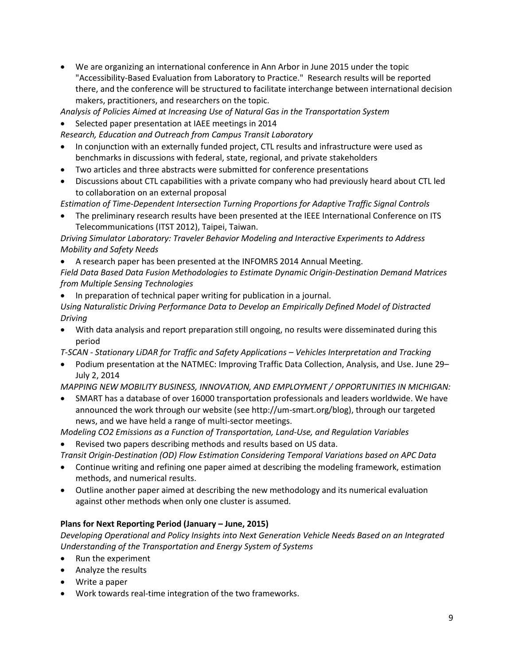• We are organizing an international conference in Ann Arbor in June 2015 under the topic "Accessibility-Based Evaluation from Laboratory to Practice." Research results will be reported there, and the conference will be structured to facilitate interchange between international decision makers, practitioners, and researchers on the topic.

*Analysis of Policies Aimed at Increasing Use of Natural Gas in the Transportation System*

• Selected paper presentation at IAEE meetings in 2014

*Research, Education and Outreach from Campus Transit Laboratory*

- In conjunction with an externally funded project, CTL results and infrastructure were used as benchmarks in discussions with federal, state, regional, and private stakeholders
- Two articles and three abstracts were submitted for conference presentations
- Discussions about CTL capabilities with a private company who had previously heard about CTL led to collaboration on an external proposal

*Estimation of Time-Dependent Intersection Turning Proportions for Adaptive Traffic Signal Controls*

• The preliminary research results have been presented at the IEEE International Conference on ITS Telecommunications (ITST 2012), Taipei, Taiwan.

*Driving Simulator Laboratory: Traveler Behavior Modeling and Interactive Experiments to Address Mobility and Safety Needs*

• A research paper has been presented at the INFOMRS 2014 Annual Meeting. *Field Data Based Data Fusion Methodologies to Estimate Dynamic Origin-Destination Demand Matrices from Multiple Sensing Technologies* 

• In preparation of technical paper writing for publication in a journal.

*Using Naturalistic Driving Performance Data to Develop an Empirically Defined Model of Distracted Driving*

• With data analysis and report preparation still ongoing, no results were disseminated during this period

*T-SCAN - Stationary LiDAR for Traffic and Safety Applications – Vehicles Interpretation and Tracking* 

• Podium presentation at the NATMEC: Improving Traffic Data Collection, Analysis, and Use. June 29– July 2, 2014

*MAPPING NEW MOBILITY BUSINESS, INNOVATION, AND EMPLOYMENT / OPPORTUNITIES IN MICHIGAN:* 

• SMART has a database of over 16000 transportation professionals and leaders worldwide. We have announced the work through our website (see http://um-smart.org/blog), through our targeted news, and we have held a range of multi-sector meetings.

*Modeling CO2 Emiss*i*ons as a Function of Transportation, Land-Use, and Regulation Variables*

Revised two papers describing methods and results based on US data.

*Transit Origin-Destination (OD) Flow Estimation Considering Temporal Variations based on APC Data*

- Continue writing and refining one paper aimed at describing the modeling framework, estimation methods, and numerical results.
- Outline another paper aimed at describing the new methodology and its numerical evaluation against other methods when only one cluster is assumed.

# **Plans for Next Reporting Period (January – June, 2015)**

*Developing Operational and Policy Insights into Next Generation Vehicle Needs Based on an Integrated Understanding of the Transportation and Energy System of Systems*

- Run the experiment
- Analyze the results
- Write a paper
- Work towards real-time integration of the two frameworks.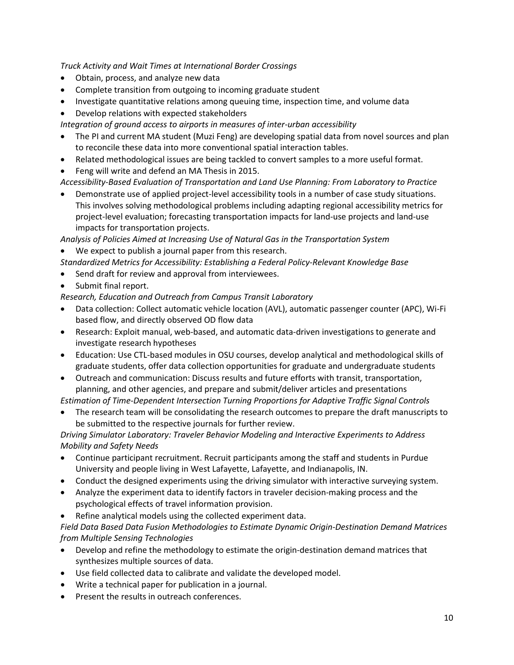*Truck Activity and Wait Times at International Border Crossings*

- Obtain, process, and analyze new data
- Complete transition from outgoing to incoming graduate student
- Investigate quantitative relations among queuing time, inspection time, and volume data
- Develop relations with expected stakeholders
- *Integration of ground access to airports in measures of inter-urban accessibility*
- The PI and current MA student (Muzi Feng) are developing spatial data from novel sources and plan to reconcile these data into more conventional spatial interaction tables.
- Related methodological issues are being tackled to convert samples to a more useful format.
- Feng will write and defend an MA Thesis in 2015.
- *Accessibility-Based Evaluation of Transportation and Land Use Planning: From Laboratory to Practice*
- Demonstrate use of applied project-level accessibility tools in a number of case study situations. This involves solving methodological problems including adapting regional accessibility metrics for project-level evaluation; forecasting transportation impacts for land-use projects and land-use impacts for transportation projects.

*Analysis of Policies Aimed at Increasing Use of Natural Gas in the Transportation System*

- We expect to publish a journal paper from this research.
- *Standardized Metrics for Accessibility: Establishing a Federal Policy-Relevant Knowledge Base*
- Send draft for review and approval from interviewees.
- Submit final report.

*Research, Education and Outreach from Campus Transit Laboratory*

- Data collection: Collect automatic vehicle location (AVL), automatic passenger counter (APC), Wi-Fi based flow, and directly observed OD flow data
- Research: Exploit manual, web-based, and automatic data-driven investigations to generate and investigate research hypotheses
- Education: Use CTL-based modules in OSU courses, develop analytical and methodological skills of graduate students, offer data collection opportunities for graduate and undergraduate students
- Outreach and communication: Discuss results and future efforts with transit, transportation, planning, and other agencies, and prepare and submit/deliver articles and presentations

*Estimation of Time-Dependent Intersection Turning Proportions for Adaptive Traffic Signal Controls*

• The research team will be consolidating the research outcomes to prepare the draft manuscripts to be submitted to the respective journals for further review.

*Driving Simulator Laboratory: Traveler Behavior Modeling and Interactive Experiments to Address Mobility and Safety Needs*

- Continue participant recruitment. Recruit participants among the staff and students in Purdue University and people living in West Lafayette, Lafayette, and Indianapolis, IN.
- Conduct the designed experiments using the driving simulator with interactive surveying system.
- Analyze the experiment data to identify factors in traveler decision-making process and the psychological effects of travel information provision.
- Refine analytical models using the collected experiment data.

*Field Data Based Data Fusion Methodologies to Estimate Dynamic Origin-Destination Demand Matrices from Multiple Sensing Technologies* 

- Develop and refine the methodology to estimate the origin-destination demand matrices that synthesizes multiple sources of data.
- Use field collected data to calibrate and validate the developed model.
- Write a technical paper for publication in a journal.
- Present the results in outreach conferences.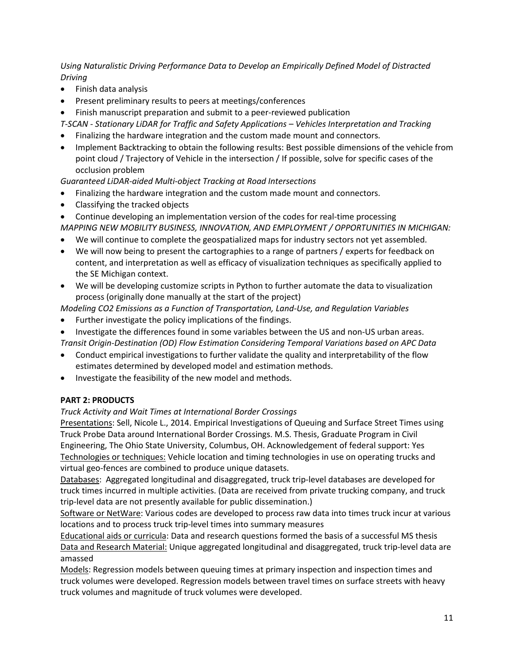*Using Naturalistic Driving Performance Data to Develop an Empirically Defined Model of Distracted Driving*

- Finish data analysis
- Present preliminary results to peers at meetings/conferences
- Finish manuscript preparation and submit to a peer-reviewed publication
- *T-SCAN - Stationary LiDAR for Traffic and Safety Applications – Vehicles Interpretation and Tracking*
- Finalizing the hardware integration and the custom made mount and connectors.
- Implement Backtracking to obtain the following results: Best possible dimensions of the vehicle from point cloud / Trajectory of Vehicle in the intersection / If possible, solve for specific cases of the occlusion problem

*Guaranteed LiDAR-aided Multi-object Tracking at Road Intersections*

- Finalizing the hardware integration and the custom made mount and connectors.
- Classifying the tracked objects
- Continue developing an implementation version of the codes for real-time processing *MAPPING NEW MOBILITY BUSINESS, INNOVATION, AND EMPLOYMENT / OPPORTUNITIES IN MICHIGAN:*
- We will continue to complete the geospatialized maps for industry sectors not yet assembled.
- We will now being to present the cartographies to a range of partners / experts for feedback on content, and interpretation as well as efficacy of visualization techniques as specifically applied to the SE Michigan context.
- We will be developing customize scripts in Python to further automate the data to visualization process (originally done manually at the start of the project)

*Modeling CO2 Emissions as a Function of Transportation, Land-Use, and Regulation Variables*

- Further investigate the policy implications of the findings.
- Investigate the differences found in some variables between the US and non-US urban areas. *Transit Origin-Destination (OD) Flow Estimation Considering Temporal Variations based on APC Data*
- Conduct empirical investigations to further validate the quality and interpretability of the flow estimates determined by developed model and estimation methods.
- Investigate the feasibility of the new model and methods.

### **PART 2: PRODUCTS**

### *Truck Activity and Wait Times at International Border Crossings*

Presentations: Sell, Nicole L., 2014. Empirical Investigations of Queuing and Surface Street Times using Truck Probe Data around International Border Crossings. M.S. Thesis, Graduate Program in Civil Engineering, The Ohio State University, Columbus, OH. Acknowledgement of federal support: Yes Technologies or techniques: Vehicle location and timing technologies in use on operating trucks and virtual geo-fences are combined to produce unique datasets.

Databases: Aggregated longitudinal and disaggregated, truck trip-level databases are developed for truck times incurred in multiple activities. (Data are received from private trucking company, and truck trip-level data are not presently available for public dissemination.)

Software or NetWare: Various codes are developed to process raw data into times truck incur at various locations and to process truck trip-level times into summary measures

Educational aids or curricula: Data and research questions formed the basis of a successful MS thesis Data and Research Material: Unique aggregated longitudinal and disaggregated, truck trip-level data are amassed

Models: Regression models between queuing times at primary inspection and inspection times and truck volumes were developed. Regression models between travel times on surface streets with heavy truck volumes and magnitude of truck volumes were developed.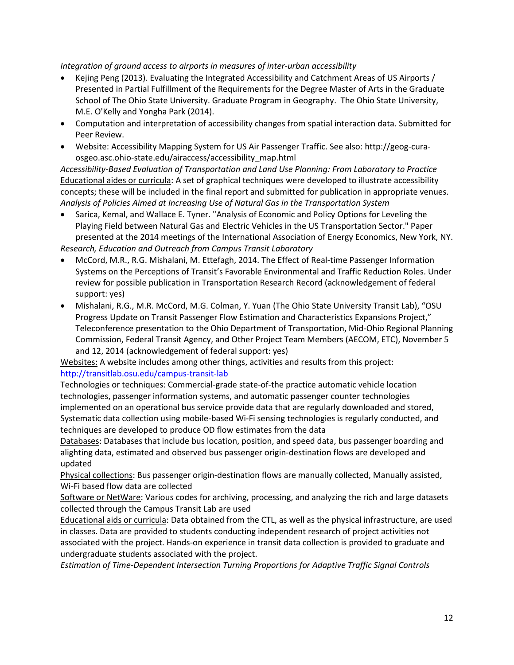*Integration of ground access to airports in measures of inter-urban accessibility* 

- Kejing Peng (2013). Evaluating the Integrated Accessibility and Catchment Areas of US Airports / Presented in Partial Fulfillment of the Requirements for the Degree Master of Arts in the Graduate School of The Ohio State University. Graduate Program in Geography. The Ohio State University, M.E. O'Kelly and Yongha Park (2014).
- Computation and interpretation of accessibility changes from spatial interaction data. Submitted for Peer Review.
- Website: Accessibility Mapping System for US Air Passenger Traffic. See also: http://geog-curaosgeo.asc.ohio-state.edu/airaccess/accessibility\_map.html

*Accessibility-Based Evaluation of Transportation and Land Use Planning: From Laboratory to Practice* Educational aides or curricula: A set of graphical techniques were developed to illustrate accessibility concepts; these will be included in the final report and submitted for publication in appropriate venues. *Analysis of Policies Aimed at Increasing Use of Natural Gas in the Transportation System*

- Sarica, Kemal, and Wallace E. Tyner. "Analysis of Economic and Policy Options for Leveling the Playing Field between Natural Gas and Electric Vehicles in the US Transportation Sector." Paper presented at the 2014 meetings of the International Association of Energy Economics, New York, NY. *Research, Education and Outreach from Campus Transit Laboratory*
- McCord, M.R., R.G. Mishalani, M. Ettefagh, 2014. The Effect of Real-time Passenger Information Systems on the Perceptions of Transit's Favorable Environmental and Traffic Reduction Roles. Under review for possible publication in Transportation Research Record (acknowledgement of federal support: yes)
- Mishalani, R.G., M.R. McCord, M.G. Colman, Y. Yuan (The Ohio State University Transit Lab), "OSU Progress Update on Transit Passenger Flow Estimation and Characteristics Expansions Project," Teleconference presentation to the Ohio Department of Transportation, Mid-Ohio Regional Planning Commission, Federal Transit Agency, and Other Project Team Members (AECOM, ETC), November 5 and 12, 2014 (acknowledgement of federal support: yes)

Websites: A website includes among other things, activities and results from this project: <http://transitlab.osu.edu/campus-transit-lab>

Technologies or techniques: Commercial-grade state-of-the practice automatic vehicle location technologies, passenger information systems, and automatic passenger counter technologies implemented on an operational bus service provide data that are regularly downloaded and stored, Systematic data collection using mobile-based Wi-Fi sensing technologies is regularly conducted, and techniques are developed to produce OD flow estimates from the data

Databases: Databases that include bus location, position, and speed data, bus passenger boarding and alighting data, estimated and observed bus passenger origin-destination flows are developed and updated

Physical collections: Bus passenger origin-destination flows are manually collected, Manually assisted, Wi-Fi based flow data are collected

Software or NetWare: Various codes for archiving, processing, and analyzing the rich and large datasets collected through the Campus Transit Lab are used

Educational aids or curricula: Data obtained from the CTL, as well as the physical infrastructure, are used in classes. Data are provided to students conducting independent research of project activities not associated with the project. Hands-on experience in transit data collection is provided to graduate and undergraduate students associated with the project.

*Estimation of Time-Dependent Intersection Turning Proportions for Adaptive Traffic Signal Controls*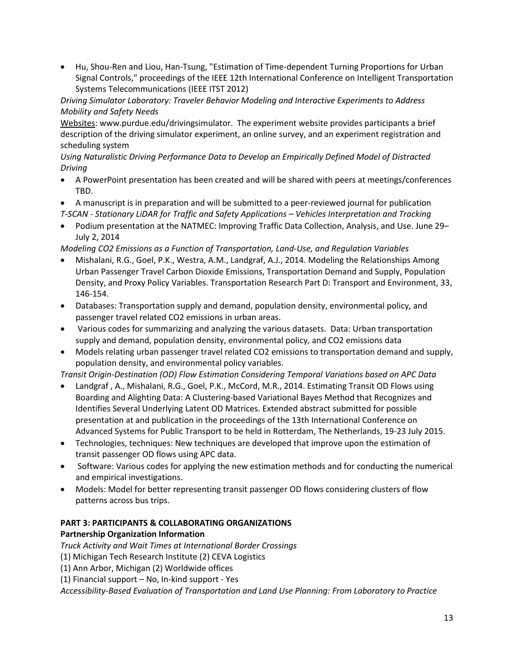• Hu, Shou-Ren and Liou, Han-Tsung, "Estimation of Time-dependent Turning Proportions for Urban Signal Controls," proceedings of the IEEE 12th International Conference on Intelligent Transportation Systems Telecommunications (IEEE ITST 2012)

*Driving Simulator Laboratory: Traveler Behavior Modeling and Interactive Experiments to Address Mobility and Safety Needs*

Websites: www.purdue.edu/drivingsimulator. The experiment website provides participants a brief description of the driving simulator experiment, an online survey, and an experiment registration and scheduling system

*Using Naturalistic Driving Performance Data to Develop an Empirically Defined Model of Distracted Driving*

- A PowerPoint presentation has been created and will be shared with peers at meetings/conferences TBD.
- A manuscript is in preparation and will be submitted to a peer-reviewed journal for publication *T-SCAN - Stationary LiDAR for Traffic and Safety Applications – Vehicles Interpretation and Tracking*
- Podium presentation at the NATMEC: Improving Traffic Data Collection, Analysis, and Use. June 29– July 2, 2014
- *Modeling CO2 Emissions as a Function of Transportation, Land-Use, and Regulation Variables*
- Mishalani, R.G., Goel, P.K., Westra, A.M., Landgraf, A.J., 2014. Modeling the Relationships Among Urban Passenger Travel Carbon Dioxide Emissions, Transportation Demand and Supply, Population Density, and Proxy Policy Variables. Transportation Research Part D: Transport and Environment, 33, 146-154.
- Databases: Transportation supply and demand, population density, environmental policy, and passenger travel related CO2 emissions in urban areas.
- Various codes for summarizing and analyzing the various datasets. Data: Urban transportation supply and demand, population density, environmental policy, and CO2 emissions data
- Models relating urban passenger travel related CO2 emissions to transportation demand and supply, population density, and environmental policy variables.

*Transit Origin-Destination (OD) Flow Estimation Considering Temporal Variations based on APC Data*

- Landgraf , A., Mishalani, R.G., Goel, P.K., McCord, M.R., 2014. Estimating Transit OD Flows using Boarding and Alighting Data: A Clustering-based Variational Bayes Method that Recognizes and Identifies Several Underlying Latent OD Matrices. Extended abstract submitted for possible presentation at and publication in the proceedings of the 13th International Conference on Advanced Systems for Public Transport to be held in Rotterdam, The Netherlands, 19-23 July 2015.
- Technologies, techniques: New techniques are developed that improve upon the estimation of transit passenger OD flows using APC data.
- Software: Various codes for applying the new estimation methods and for conducting the numerical and empirical investigations.
- Models: Model for better representing transit passenger OD flows considering clusters of flow patterns across bus trips.

#### **PART 3: PARTICIPANTS & COLLABORATING ORGANIZATIONS Partnership Organization Information**

*Truck Activity and Wait Times at International Border Crossings*

(1) Michigan Tech Research Institute (2) CEVA Logistics

(1) Ann Arbor, Michigan (2) Worldwide offices

(1) Financial support – No, In-kind support - Yes

*Accessibility-Based Evaluation of Transportation and Land Use Planning: From Laboratory to Practice*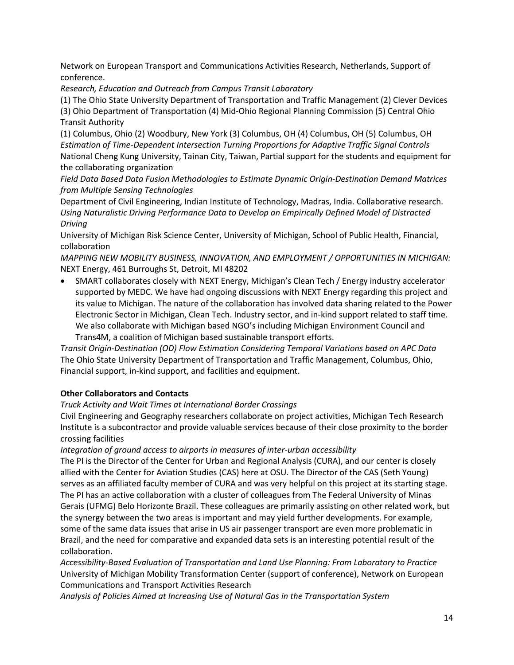Network on European Transport and Communications Activities Research, Netherlands, Support of conference.

*Research, Education and Outreach from Campus Transit Laboratory*

(1) The Ohio State University Department of Transportation and Traffic Management (2) Clever Devices (3) Ohio Department of Transportation (4) Mid-Ohio Regional Planning Commission (5) Central Ohio Transit Authority

(1) Columbus, Ohio (2) Woodbury, New York (3) Columbus, OH (4) Columbus, OH (5) Columbus, OH *Estimation of Time-Dependent Intersection Turning Proportions for Adaptive Traffic Signal Controls* National Cheng Kung University, Tainan City, Taiwan, Partial support for the students and equipment for the collaborating organization

*Field Data Based Data Fusion Methodologies to Estimate Dynamic Origin-Destination Demand Matrices from Multiple Sensing Technologies* 

Department of Civil Engineering, Indian Institute of Technology, Madras, India. Collaborative research. *Using Naturalistic Driving Performance Data to Develop an Empirically Defined Model of Distracted Driving*

University of Michigan Risk Science Center, University of Michigan, School of Public Health, Financial, collaboration

*MAPPING NEW MOBILITY BUSINESS, INNOVATION, AND EMPLOYMENT / OPPORTUNITIES IN MICHIGAN:*  NEXT Energy, 461 Burroughs St, Detroit, MI 48202

• SMART collaborates closely with NEXT Energy, Michigan's Clean Tech / Energy industry accelerator supported by MEDC. We have had ongoing discussions with NEXT Energy regarding this project and its value to Michigan. The nature of the collaboration has involved data sharing related to the Power Electronic Sector in Michigan, Clean Tech. Industry sector, and in-kind support related to staff time. We also collaborate with Michigan based NGO's including Michigan Environment Council and Trans4M, a coalition of Michigan based sustainable transport efforts.

*Transit Origin-Destination (OD) Flow Estimation Considering Temporal Variations based on APC Data* The Ohio State University Department of Transportation and Traffic Management, Columbus, Ohio, Financial support, in-kind support, and facilities and equipment.

# **Other Collaborators and Contacts**

### *Truck Activity and Wait Times at International Border Crossings*

Civil Engineering and Geography researchers collaborate on project activities, Michigan Tech Research Institute is a subcontractor and provide valuable services because of their close proximity to the border crossing facilities

### *Integration of ground access to airports in measures of inter-urban accessibility*

The PI is the Director of the Center for Urban and Regional Analysis (CURA), and our center is closely allied with the Center for Aviation Studies (CAS) here at OSU. The Director of the CAS (Seth Young) serves as an affiliated faculty member of CURA and was very helpful on this project at its starting stage. The PI has an active collaboration with a cluster of colleagues from The Federal University of Minas Gerais (UFMG) Belo Horizonte Brazil. These colleagues are primarily assisting on other related work, but the synergy between the two areas is important and may yield further developments. For example, some of the same data issues that arise in US air passenger transport are even more problematic in Brazil, and the need for comparative and expanded data sets is an interesting potential result of the collaboration.

*Accessibility-Based Evaluation of Transportation and Land Use Planning: From Laboratory to Practice* University of Michigan Mobility Transformation Center (support of conference), Network on European Communications and Transport Activities Research

*Analysis of Policies Aimed at Increasing Use of Natural Gas in the Transportation System*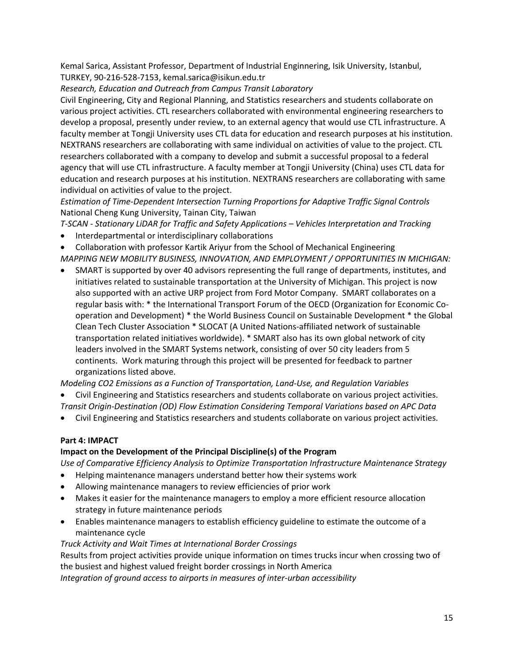Kemal Sarica, Assistant Professor, Department of Industrial Enginnering, Isik University, Istanbul, TURKEY, 90-216-528-7153, kemal.sarica@isikun.edu.tr

*Research, Education and Outreach from Campus Transit Laboratory*

Civil Engineering, City and Regional Planning, and Statistics researchers and students collaborate on various project activities. CTL researchers collaborated with environmental engineering researchers to develop a proposal, presently under review, to an external agency that would use CTL infrastructure. A faculty member at Tongji University uses CTL data for education and research purposes at his institution. NEXTRANS researchers are collaborating with same individual on activities of value to the project. CTL researchers collaborated with a company to develop and submit a successful proposal to a federal agency that will use CTL infrastructure. A faculty member at Tongji University (China) uses CTL data for education and research purposes at his institution. NEXTRANS researchers are collaborating with same individual on activities of value to the project.

*Estimation of Time-Dependent Intersection Turning Proportions for Adaptive Traffic Signal Controls* National Cheng Kung University, Tainan City, Taiwan

*T-SCAN - Stationary LiDAR for Traffic and Safety Applications – Vehicles Interpretation and Tracking* 

• Interdepartmental or interdisciplinary collaborations

• Collaboration with professor Kartik Ariyur from the School of Mechanical Engineering *MAPPING NEW MOBILITY BUSINESS, INNOVATION, AND EMPLOYMENT / OPPORTUNITIES IN MICHIGAN:* 

• SMART is supported by over 40 advisors representing the full range of departments, institutes, and initiatives related to sustainable transportation at the University of Michigan. This project is now also supported with an active URP project from Ford Motor Company. SMART collaborates on a regular basis with: \* the International Transport Forum of the OECD (Organization for Economic Cooperation and Development) \* the World Business Council on Sustainable Development \* the Global Clean Tech Cluster Association \* SLOCAT (A United Nations-affiliated network of sustainable transportation related initiatives worldwide). \* SMART also has its own global network of city leaders involved in the SMART Systems network, consisting of over 50 city leaders from 5 continents. Work maturing through this project will be presented for feedback to partner organizations listed above.

*Modeling CO2 Emissions as a Function of Transportation, Land-Use, and Regulation Variables*

- Civil Engineering and Statistics researchers and students collaborate on various project activities. *Transit Origin-Destination (OD) Flow Estimation Considering Temporal Variations based on APC Data*
- Civil Engineering and Statistics researchers and students collaborate on various project activities.

### **Part 4: IMPACT**

#### **Impact on the Development of the Principal Discipline(s) of the Program**

*Use of Comparative Efficiency Analysis to Optimize Transportation Infrastructure Maintenance Strategy* 

- Helping maintenance managers understand better how their systems work
- Allowing maintenance managers to review efficiencies of prior work
- Makes it easier for the maintenance managers to employ a more efficient resource allocation strategy in future maintenance periods
- Enables maintenance managers to establish efficiency guideline to estimate the outcome of a maintenance cycle

*Truck Activity and Wait Times at International Border Crossings*

Results from project activities provide unique information on times trucks incur when crossing two of the busiest and highest valued freight border crossings in North America

*Integration of ground access to airports in measures of inter-urban accessibility*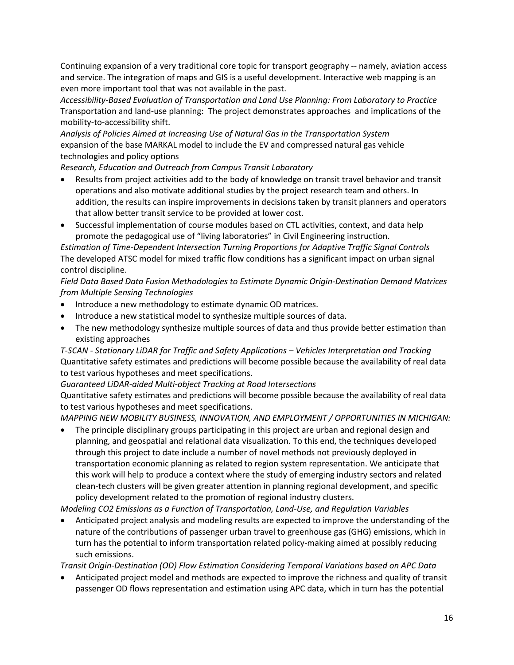Continuing expansion of a very traditional core topic for transport geography -- namely, aviation access and service. The integration of maps and GIS is a useful development. Interactive web mapping is an even more important tool that was not available in the past.

*Accessibility-Based Evaluation of Transportation and Land Use Planning: From Laboratory to Practice* Transportation and land-use planning: The project demonstrates approaches and implications of the mobility-to-accessibility shift.

*Analysis of Policies Aimed at Increasing Use of Natural Gas in the Transportation System* expansion of the base MARKAL model to include the EV and compressed natural gas vehicle technologies and policy options

*Research, Education and Outreach from Campus Transit Laboratory*

- Results from project activities add to the body of knowledge on transit travel behavior and transit operations and also motivate additional studies by the project research team and others. In addition, the results can inspire improvements in decisions taken by transit planners and operators that allow better transit service to be provided at lower cost.
- Successful implementation of course modules based on CTL activities, context, and data help promote the pedagogical use of "living laboratories" in Civil Engineering instruction.

*Estimation of Time-Dependent Intersection Turning Proportions for Adaptive Traffic Signal Controls* The developed ATSC model for mixed traffic flow conditions has a significant impact on urban signal control discipline.

*Field Data Based Data Fusion Methodologies to Estimate Dynamic Origin-Destination Demand Matrices from Multiple Sensing Technologies* 

- Introduce a new methodology to estimate dynamic OD matrices.
- Introduce a new statistical model to synthesize multiple sources of data.
- The new methodology synthesize multiple sources of data and thus provide better estimation than existing approaches

*T-SCAN - Stationary LiDAR for Traffic and Safety Applications – Vehicles Interpretation and Tracking*  Quantitative safety estimates and predictions will become possible because the availability of real data to test various hypotheses and meet specifications.

*Guaranteed LiDAR-aided Multi-object Tracking at Road Intersections*

Quantitative safety estimates and predictions will become possible because the availability of real data to test various hypotheses and meet specifications.

*MAPPING NEW MOBILITY BUSINESS, INNOVATION, AND EMPLOYMENT / OPPORTUNITIES IN MICHIGAN:* 

• The principle disciplinary groups participating in this project are urban and regional design and planning, and geospatial and relational data visualization. To this end, the techniques developed through this project to date include a number of novel methods not previously deployed in transportation economic planning as related to region system representation. We anticipate that this work will help to produce a context where the study of emerging industry sectors and related clean-tech clusters will be given greater attention in planning regional development, and specific policy development related to the promotion of regional industry clusters.

*Modeling CO2 Emissions as a Function of Transportation, Land-Use, and Regulation Variables*

• Anticipated project analysis and modeling results are expected to improve the understanding of the nature of the contributions of passenger urban travel to greenhouse gas (GHG) emissions, which in turn has the potential to inform transportation related policy-making aimed at possibly reducing such emissions.

*Transit Origin-Destination (OD) Flow Estimation Considering Temporal Variations based on APC Data*

• Anticipated project model and methods are expected to improve the richness and quality of transit passenger OD flows representation and estimation using APC data, which in turn has the potential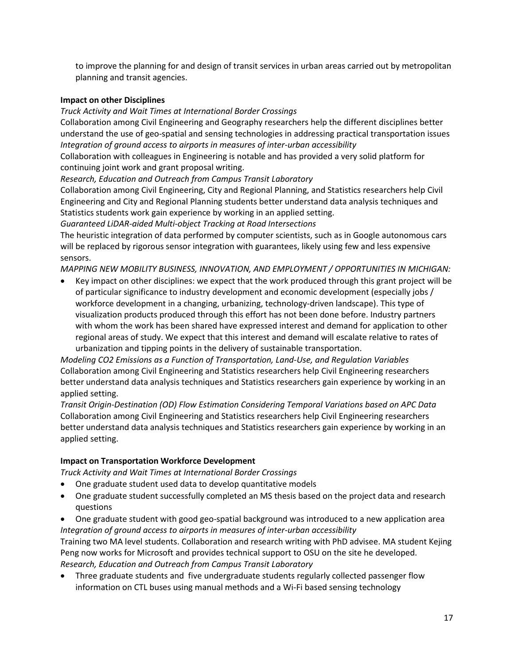to improve the planning for and design of transit services in urban areas carried out by metropolitan planning and transit agencies.

#### **Impact on other Disciplines**

*Truck Activity and Wait Times at International Border Crossings*

Collaboration among Civil Engineering and Geography researchers help the different disciplines better understand the use of geo-spatial and sensing technologies in addressing practical transportation issues *Integration of ground access to airports in measures of inter-urban accessibility* 

Collaboration with colleagues in Engineering is notable and has provided a very solid platform for continuing joint work and grant proposal writing.

*Research, Education and Outreach from Campus Transit Laboratory*

Collaboration among Civil Engineering, City and Regional Planning, and Statistics researchers help Civil Engineering and City and Regional Planning students better understand data analysis techniques and Statistics students work gain experience by working in an applied setting.

*Guaranteed LiDAR-aided Multi-object Tracking at Road Intersections*

The heuristic integration of data performed by computer scientists, such as in Google autonomous cars will be replaced by rigorous sensor integration with guarantees, likely using few and less expensive sensors.

*MAPPING NEW MOBILITY BUSINESS, INNOVATION, AND EMPLOYMENT / OPPORTUNITIES IN MICHIGAN:* 

• Key impact on other disciplines: we expect that the work produced through this grant project will be of particular significance to industry development and economic development (especially jobs / workforce development in a changing, urbanizing, technology-driven landscape). This type of visualization products produced through this effort has not been done before. Industry partners with whom the work has been shared have expressed interest and demand for application to other regional areas of study. We expect that this interest and demand will escalate relative to rates of urbanization and tipping points in the delivery of sustainable transportation.

*Modeling CO2 Emissions as a Function of Transportation, Land-Use, and Regulation Variables* Collaboration among Civil Engineering and Statistics researchers help Civil Engineering researchers better understand data analysis techniques and Statistics researchers gain experience by working in an applied setting.

*Transit Origin-Destination (OD) Flow Estimation Considering Temporal Variations based on APC Data* Collaboration among Civil Engineering and Statistics researchers help Civil Engineering researchers better understand data analysis techniques and Statistics researchers gain experience by working in an applied setting.

### **Impact on Transportation Workforce Development**

*Truck Activity and Wait Times at International Border Crossings*

- One graduate student used data to develop quantitative models
- One graduate student successfully completed an MS thesis based on the project data and research questions
- One graduate student with good geo-spatial background was introduced to a new application area *Integration of ground access to airports in measures of inter-urban accessibility*

Training two MA level students. Collaboration and research writing with PhD advisee. MA student Kejing Peng now works for Microsoft and provides technical support to OSU on the site he developed. *Research, Education and Outreach from Campus Transit Laboratory*

• Three graduate students and five undergraduate students regularly collected passenger flow information on CTL buses using manual methods and a Wi-Fi based sensing technology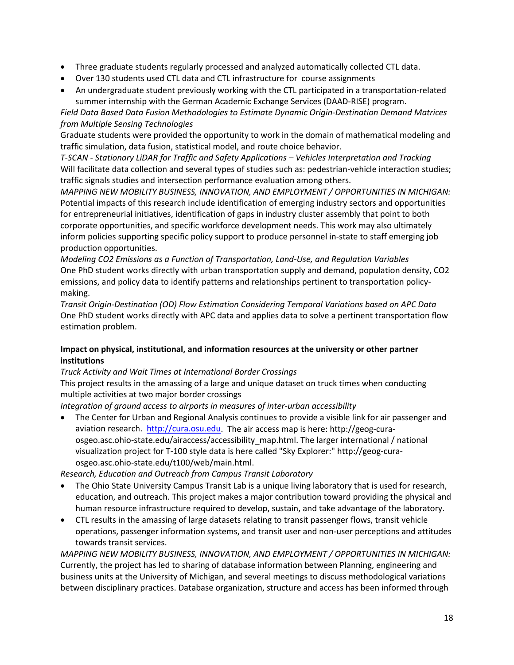- Three graduate students regularly processed and analyzed automatically collected CTL data.
- Over 130 students used CTL data and CTL infrastructure for course assignments
- An undergraduate student previously working with the CTL participated in a transportation-related summer internship with the German Academic Exchange Services (DAAD-RISE) program.

*Field Data Based Data Fusion Methodologies to Estimate Dynamic Origin-Destination Demand Matrices from Multiple Sensing Technologies* 

Graduate students were provided the opportunity to work in the domain of mathematical modeling and traffic simulation, data fusion, statistical model, and route choice behavior.

*T-SCAN - Stationary LiDAR for Traffic and Safety Applications – Vehicles Interpretation and Tracking*  Will facilitate data collection and several types of studies such as: pedestrian-vehicle interaction studies; traffic signals studies and intersection performance evaluation among others.

*MAPPING NEW MOBILITY BUSINESS, INNOVATION, AND EMPLOYMENT / OPPORTUNITIES IN MICHIGAN:*  Potential impacts of this research include identification of emerging industry sectors and opportunities for entrepreneurial initiatives, identification of gaps in industry cluster assembly that point to both corporate opportunities, and specific workforce development needs. This work may also ultimately inform policies supporting specific policy support to produce personnel in-state to staff emerging job production opportunities.

*Modeling CO2 Emissions as a Function of Transportation, Land-Use, and Regulation Variables* One PhD student works directly with urban transportation supply and demand, population density, CO2 emissions, and policy data to identify patterns and relationships pertinent to transportation policymaking.

*Transit Origin-Destination (OD) Flow Estimation Considering Temporal Variations based on APC Data* One PhD student works directly with APC data and applies data to solve a pertinent transportation flow estimation problem.

#### **Impact on physical, institutional, and information resources at the university or other partner institutions**

*Truck Activity and Wait Times at International Border Crossings*

This project results in the amassing of a large and unique dataset on truck times when conducting multiple activities at two major border crossings

*Integration of ground access to airports in measures of inter-urban accessibility* 

• The Center for Urban and Regional Analysis continues to provide a visible link for air passenger and aviation research. [http://cura.osu.edu.](http://cura.osu.edu/) The air access map is here: http://geog-curaosgeo.asc.ohio-state.edu/airaccess/accessibility\_map.html. The larger international / national visualization project for T-100 style data is here called "Sky Explorer:" http://geog-curaosgeo.asc.ohio-state.edu/t100/web/main.html.

*Research, Education and Outreach from Campus Transit Laboratory*

- The Ohio State University Campus Transit Lab is a unique living laboratory that is used for research, education, and outreach. This project makes a major contribution toward providing the physical and human resource infrastructure required to develop, sustain, and take advantage of the laboratory.
- CTL results in the amassing of large datasets relating to transit passenger flows, transit vehicle operations, passenger information systems, and transit user and non-user perceptions and attitudes towards transit services.

*MAPPING NEW MOBILITY BUSINESS, INNOVATION, AND EMPLOYMENT / OPPORTUNITIES IN MICHIGAN:*  Currently, the project has led to sharing of database information between Planning, engineering and business units at the University of Michigan, and several meetings to discuss methodological variations between disciplinary practices. Database organization, structure and access has been informed through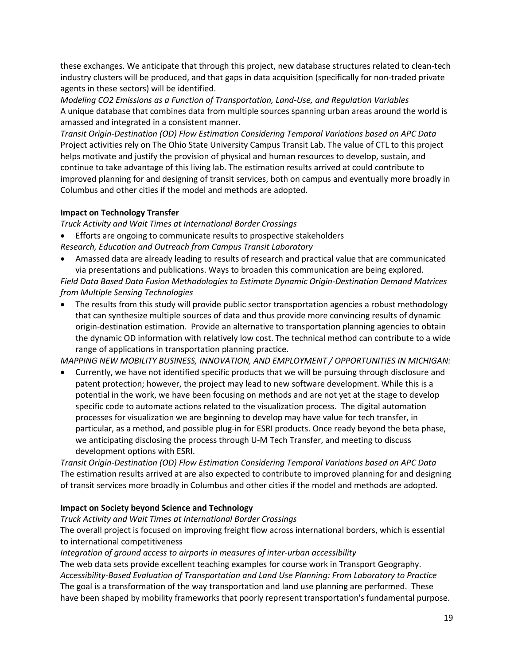these exchanges. We anticipate that through this project, new database structures related to clean-tech industry clusters will be produced, and that gaps in data acquisition (specifically for non-traded private agents in these sectors) will be identified.

*Modeling CO2 Emissions as a Function of Transportation, Land-Use, and Regulation Variables* A unique database that combines data from multiple sources spanning urban areas around the world is amassed and integrated in a consistent manner.

*Transit Origin-Destination (OD) Flow Estimation Considering Temporal Variations based on APC Data* Project activities rely on The Ohio State University Campus Transit Lab. The value of CTL to this project helps motivate and justify the provision of physical and human resources to develop, sustain, and continue to take advantage of this living lab. The estimation results arrived at could contribute to improved planning for and designing of transit services, both on campus and eventually more broadly in Columbus and other cities if the model and methods are adopted.

#### **Impact on Technology Transfer**

*Truck Activity and Wait Times at International Border Crossings*

• Efforts are ongoing to communicate results to prospective stakeholders

- *Research, Education and Outreach from Campus Transit Laboratory*
- Amassed data are already leading to results of research and practical value that are communicated via presentations and publications. Ways to broaden this communication are being explored. *Field Data Based Data Fusion Methodologies to Estimate Dynamic Origin-Destination Demand Matrices from Multiple Sensing Technologies*
- The results from this study will provide public sector transportation agencies a robust methodology that can synthesize multiple sources of data and thus provide more convincing results of dynamic origin-destination estimation. Provide an alternative to transportation planning agencies to obtain the dynamic OD information with relatively low cost. The technical method can contribute to a wide range of applications in transportation planning practice.

*MAPPING NEW MOBILITY BUSINESS, INNOVATION, AND EMPLOYMENT / OPPORTUNITIES IN MICHIGAN:* 

• Currently, we have not identified specific products that we will be pursuing through disclosure and patent protection; however, the project may lead to new software development. While this is a potential in the work, we have been focusing on methods and are not yet at the stage to develop specific code to automate actions related to the visualization process. The digital automation processes for visualization we are beginning to develop may have value for tech transfer, in particular, as a method, and possible plug-in for ESRI products. Once ready beyond the beta phase, we anticipating disclosing the process through U-M Tech Transfer, and meeting to discuss development options with ESRI.

*Transit Origin-Destination (OD) Flow Estimation Considering Temporal Variations based on APC Data* The estimation results arrived at are also expected to contribute to improved planning for and designing of transit services more broadly in Columbus and other cities if the model and methods are adopted.

### **Impact on Society beyond Science and Technology**

*Truck Activity and Wait Times at International Border Crossings*

The overall project is focused on improving freight flow across international borders, which is essential to international competitiveness

*Integration of ground access to airports in measures of inter-urban accessibility* 

The web data sets provide excellent teaching examples for course work in Transport Geography. *Accessibility-Based Evaluation of Transportation and Land Use Planning: From Laboratory to Practice* The goal is a transformation of the way transportation and land use planning are performed. These have been shaped by mobility frameworks that poorly represent transportation's fundamental purpose.